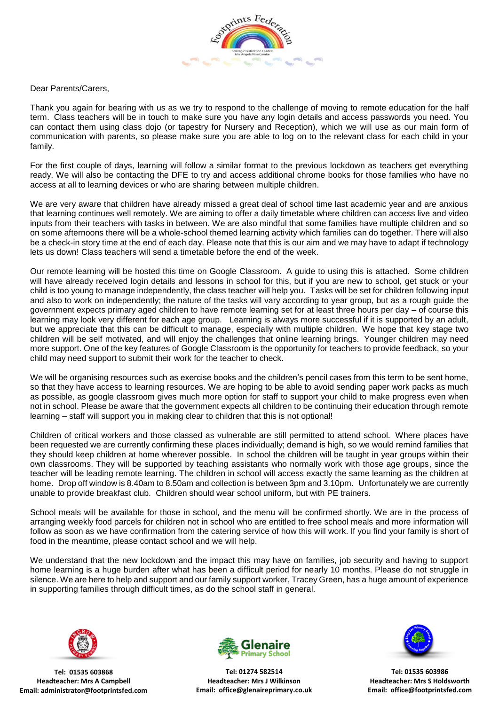

Dear Parents/Carers,

Thank you again for bearing with us as we try to respond to the challenge of moving to remote education for the half term. Class teachers will be in touch to make sure you have any login details and access passwords you need. You can contact them using class dojo (or tapestry for Nursery and Reception), which we will use as our main form of communication with parents, so please make sure you are able to log on to the relevant class for each child in your family.

For the first couple of days, learning will follow a similar format to the previous lockdown as teachers get everything ready. We will also be contacting the DFE to try and access additional chrome books for those families who have no access at all to learning devices or who are sharing between multiple children.

We are very aware that children have already missed a great deal of school time last academic year and are anxious that learning continues well remotely. We are aiming to offer a daily timetable where children can access live and video inputs from their teachers with tasks in between. We are also mindful that some families have multiple children and so on some afternoons there will be a whole-school themed learning activity which families can do together. There will also be a check-in story time at the end of each day. Please note that this is our aim and we may have to adapt if technology lets us down! Class teachers will send a timetable before the end of the week.

Our remote learning will be hosted this time on Google Classroom. A guide to using this is attached. Some children will have already received login details and lessons in school for this, but if you are new to school, get stuck or your child is too young to manage independently, the class teacher will help you. Tasks will be set for children following input and also to work on independently; the nature of the tasks will vary according to year group, but as a rough guide the government expects primary aged children to have remote learning set for at least three hours per day – of course this learning may look very different for each age group. Learning is always more successful if it is supported by an adult, but we appreciate that this can be difficult to manage, especially with multiple children. We hope that key stage two children will be self motivated, and will enjoy the challenges that online learning brings. Younger children may need more support. One of the key features of Google Classroom is the opportunity for teachers to provide feedback, so your child may need support to submit their work for the teacher to check.

We will be organising resources such as exercise books and the children's pencil cases from this term to be sent home, so that they have access to learning resources. We are hoping to be able to avoid sending paper work packs as much as possible, as google classroom gives much more option for staff to support your child to make progress even when not in school. Please be aware that the government expects all children to be continuing their education through remote learning – staff will support you in making clear to children that this is not optional!

Children of critical workers and those classed as vulnerable are still permitted to attend school. Where places have been requested we are currently confirming these places individually; demand is high, so we would remind families that they should keep children at home wherever possible. In school the children will be taught in year groups within their own classrooms. They will be supported by teaching assistants who normally work with those age groups, since the teacher will be leading remote learning. The children in school will access exactly the same learning as the children at home. Drop off window is 8.40am to 8.50am and collection is between 3pm and 3.10pm. Unfortunately we are currently unable to provide breakfast club. Children should wear school uniform, but with PE trainers.

School meals will be available for those in school, and the menu will be confirmed shortly. We are in the process of arranging weekly food parcels for children not in school who are entitled to free school meals and more information will follow as soon as we have confirmation from the catering service of how this will work. If you find your family is short of food in the meantime, please contact school and we will help.

We understand that the new lockdown and the impact this may have on families, job security and having to support home learning is a huge burden after what has been a difficult period for nearly 10 months. Please do not struggle in silence. We are here to help and support and our family support worker, Tracey Green, has a huge amount of experience in supporting families through difficult times, as do the school staff in general.



**Tel: 01535 603868 Headteacher: Mrs A Campbell Email: administrator@footprintsfed.com**



**Tel: 01274 582514 Headteacher: Mrs J Wilkinson Email: office@glenaireprimary.co.uk**



**Tel: 01535 603986 Headteacher: Mrs S Holdsworth Email: office@footprintsfed.com**